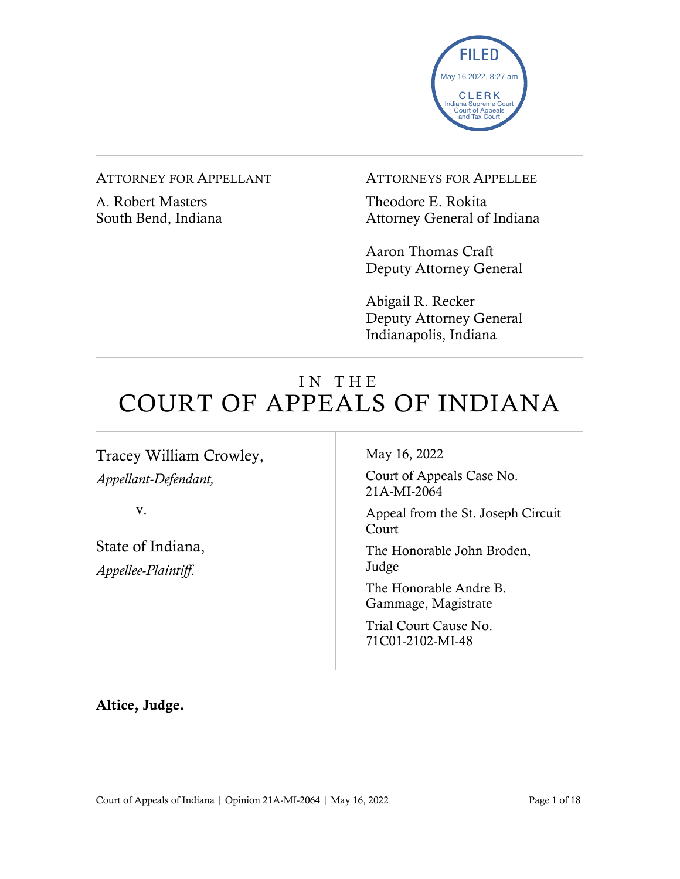

#### ATTORNEY FOR APPELLANT

A. Robert Masters South Bend, Indiana ATTORNEYS FOR APPELLEE

Theodore E. Rokita Attorney General of Indiana

Aaron Thomas Craft Deputy Attorney General

Abigail R. Recker Deputy Attorney General Indianapolis, Indiana

# IN THE COURT OF APPEALS OF INDIANA

Tracey William Crowley, *Appellant-Defendant,*

v.

State of Indiana, *Appellee-Plaintiff*.

May 16, 2022

Court of Appeals Case No. 21A-MI-2064

Appeal from the St. Joseph Circuit Court

The Honorable John Broden, Judge

The Honorable Andre B. Gammage, Magistrate

Trial Court Cause No. 71C01-2102-MI-48

Altice, Judge.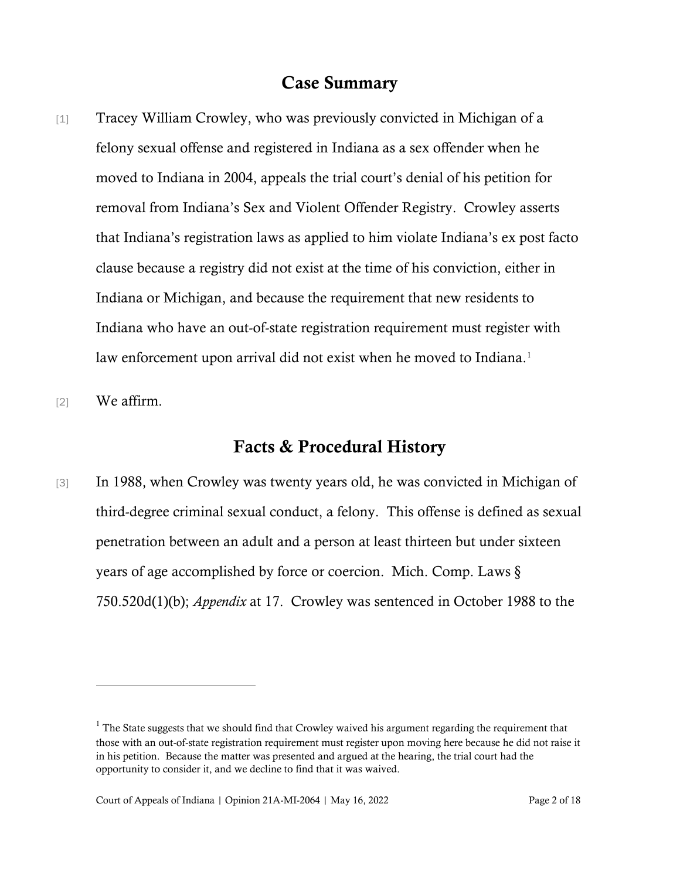### Case Summary

- [1] Tracey William Crowley, who was previously convicted in Michigan of a felony sexual offense and registered in Indiana as a sex offender when he moved to Indiana in 2004, appeals the trial court's denial of his petition for removal from Indiana's Sex and Violent Offender Registry. Crowley asserts that Indiana's registration laws as applied to him violate Indiana's ex post facto clause because a registry did not exist at the time of his conviction, either in Indiana or Michigan, and because the requirement that new residents to Indiana who have an out-of-state registration requirement must register with law enforcement upon arrival did not exist when he moved to Indiana.<sup>[1](#page-1-0)</sup>
- [2] We affirm.

## Facts & Procedural History

[3] In 1988, when Crowley was twenty years old, he was convicted in Michigan of third-degree criminal sexual conduct, a felony. This offense is defined as sexual penetration between an adult and a person at least thirteen but under sixteen years of age accomplished by force or coercion. Mich. Comp. Laws § 750.520d(1)(b); *Appendix* at 17. Crowley was sentenced in October 1988 to the

<span id="page-1-0"></span> $<sup>1</sup>$  The State suggests that we should find that Crowley waived his argument regarding the requirement that</sup> those with an out-of-state registration requirement must register upon moving here because he did not raise it in his petition. Because the matter was presented and argued at the hearing, the trial court had the opportunity to consider it, and we decline to find that it was waived.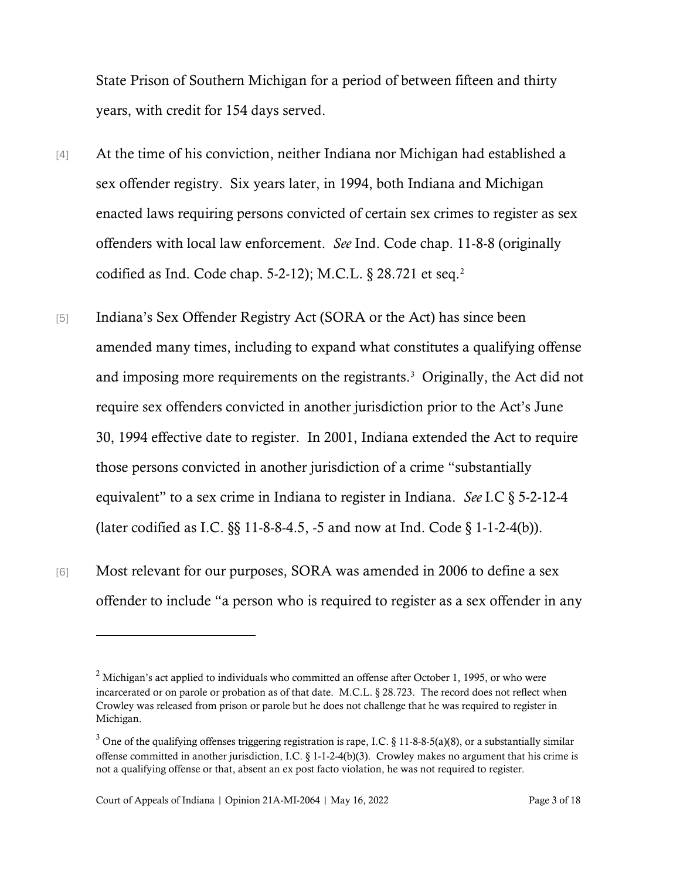State Prison of Southern Michigan for a period of between fifteen and thirty years, with credit for 154 days served.

- [4] At the time of his conviction, neither Indiana nor Michigan had established a sex offender registry. Six years later, in 1994, both Indiana and Michigan enacted laws requiring persons convicted of certain sex crimes to register as sex offenders with local law enforcement. *See* Ind. Code chap. 11-8-8 (originally codified as Ind. Code chap. 5-2-12); M.C.L. § 28.721 et seq. [2](#page-2-0)
- [5] Indiana's Sex Offender Registry Act (SORA or the Act) has since been amended many times, including to expand what constitutes a qualifying offense and imposing more requirements on the registrants.<sup>[3](#page-2-1)</sup> Originally, the Act did not require sex offenders convicted in another jurisdiction prior to the Act's June 30, 1994 effective date to register. In 2001, Indiana extended the Act to require those persons convicted in another jurisdiction of a crime "substantially equivalent" to a sex crime in Indiana to register in Indiana. *See* I.C § 5-2-12-4 (later codified as I.C.  $\S$  11-8-8-4.5, -5 and now at Ind. Code  $\S$  1-1-2-4(b)).
- [6] Most relevant for our purposes, SORA was amended in 2006 to define a sex offender to include "a person who is required to register as a sex offender in any

<span id="page-2-0"></span> $2$  Michigan's act applied to individuals who committed an offense after October 1, 1995, or who were incarcerated or on parole or probation as of that date. M.C.L. § 28.723. The record does not reflect when Crowley was released from prison or parole but he does not challenge that he was required to register in Michigan.

<span id="page-2-1"></span> $3$  One of the qualifying offenses triggering registration is rape, I.C. § 11-8-8-5(a)(8), or a substantially similar offense committed in another jurisdiction, I.C. § 1-1-2-4(b)(3). Crowley makes no argument that his crime is not a qualifying offense or that, absent an ex post facto violation, he was not required to register.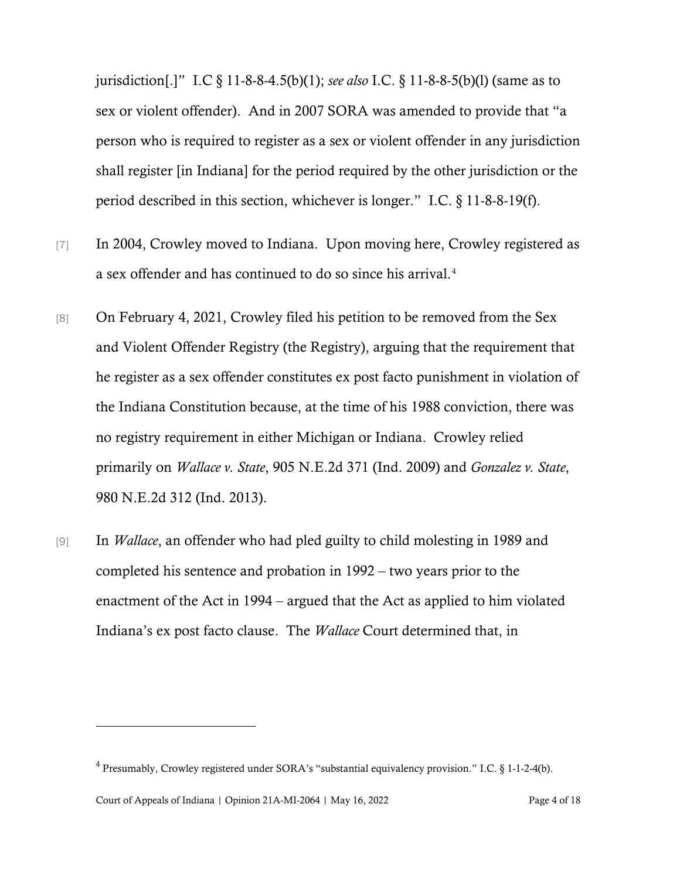jurisdiction[.]" I.C § 11-8-8-4.5(b)(1); *see also* I.C. § 11-8-8-5(b)(l) (same as to sex or violent offender). And in 2007 SORA was amended to provide that "a person who is required to register as a sex or violent offender in any jurisdiction shall register [in Indiana] for the period required by the other jurisdiction or the period described in this section, whichever is longer." I.C. § 11-8-8-19(f).

- [7] In 2004, Crowley moved to Indiana. Upon moving here, Crowley registered as a sex offender and has continued to do so since his arrival. [4](#page-3-0)
- [8] On February 4, 2021, Crowley filed his petition to be removed from the Sex and Violent Offender Registry (the Registry), arguing that the requirement that he register as a sex offender constitutes ex post facto punishment in violation of the Indiana Constitution because, at the time of his 1988 conviction, there was no registry requirement in either Michigan or Indiana. Crowley relied primarily on *Wallace v. State*, 905 N.E.2d 371 (Ind. 2009) and *Gonzalez v. State*, 980 N.E.2d 312 (Ind. 2013).
- [9] In *Wallace*, an offender who had pled guilty to child molesting in 1989 and completed his sentence and probation in 1992 – two years prior to the enactment of the Act in 1994 – argued that the Act as applied to him violated Indiana's ex post facto clause. The *Wallace* Court determined that, in

<span id="page-3-0"></span><sup>4</sup> Presumably, Crowley registered under SORA's "substantial equivalency provision." I.C. § 1-1-2-4(b).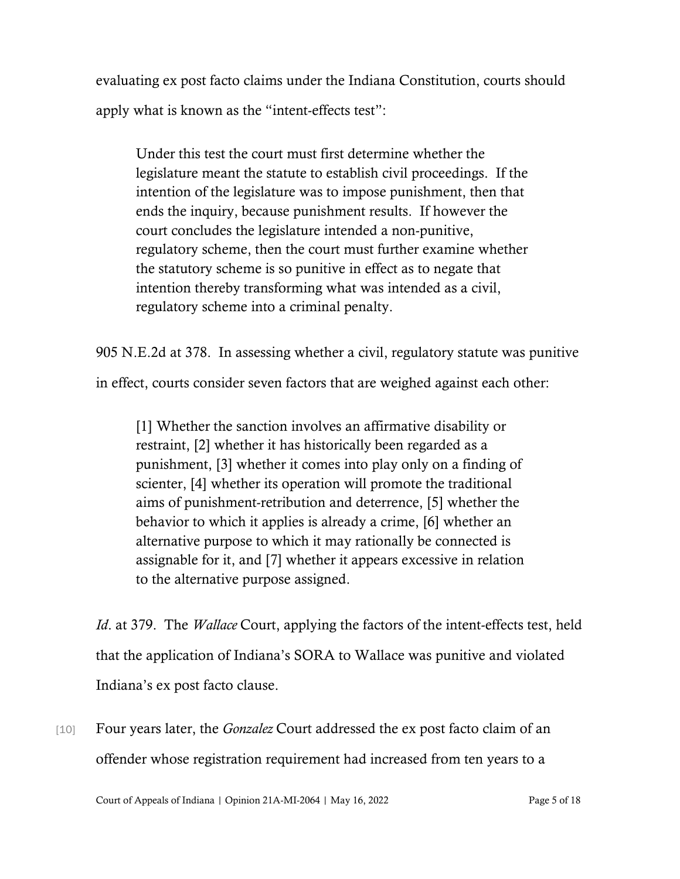evaluating ex post facto claims under the Indiana Constitution, courts should apply what is known as the "intent-effects test":

Under this test the court must first determine whether the legislature meant the statute to establish civil proceedings. If the intention of the legislature was to impose punishment, then that ends the inquiry, because punishment results. If however the court concludes the legislature intended a non-punitive, regulatory scheme, then the court must further examine whether the statutory scheme is so punitive in effect as to negate that intention thereby transforming what was intended as a civil, regulatory scheme into a criminal penalty.

905 N.E.2d at 378. In assessing whether a civil, regulatory statute was punitive

in effect, courts consider seven factors that are weighed against each other:

[1] Whether the sanction involves an affirmative disability or restraint, [2] whether it has historically been regarded as a punishment, [3] whether it comes into play only on a finding of scienter, [4] whether its operation will promote the traditional aims of punishment-retribution and deterrence, [5] whether the behavior to which it applies is already a crime, [6] whether an alternative purpose to which it may rationally be connected is assignable for it, and [7] whether it appears excessive in relation to the alternative purpose assigned.

*Id*. at 379. The *Wallace* Court, applying the factors of the intent-effects test, held that the application of Indiana's SORA to Wallace was punitive and violated Indiana's ex post facto clause.

[10] Four years later, the *Gonzalez* Court addressed the ex post facto claim of an offender whose registration requirement had increased from ten years to a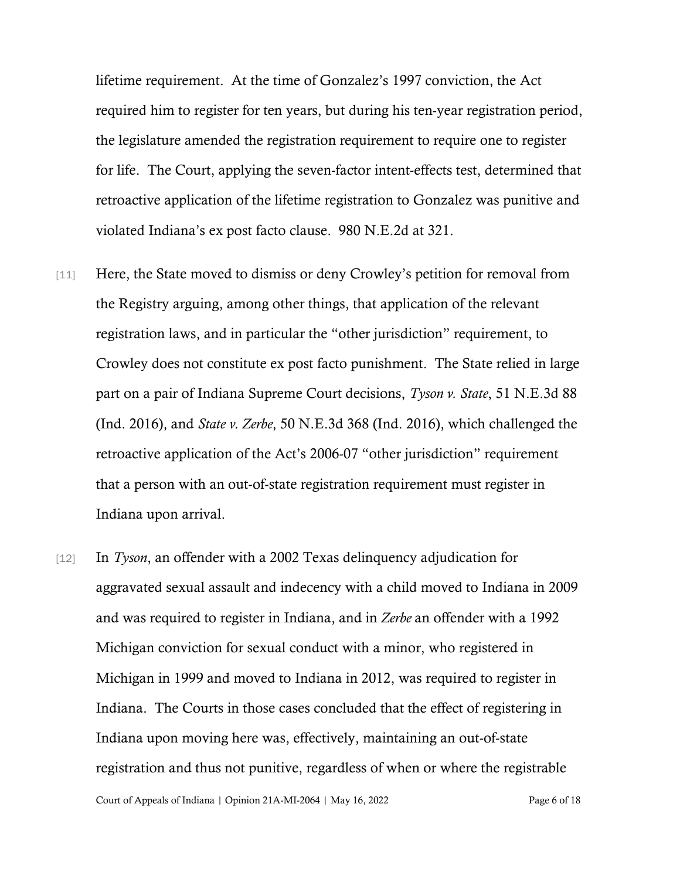lifetime requirement. At the time of Gonzalez's 1997 conviction, the Act required him to register for ten years, but during his ten-year registration period, the legislature amended the registration requirement to require one to register for life. The Court, applying the seven-factor intent-effects test, determined that retroactive application of the lifetime registration to Gonzalez was punitive and violated Indiana's ex post facto clause. 980 N.E.2d at 321.

- [11] Here, the State moved to dismiss or deny Crowley's petition for removal from the Registry arguing, among other things, that application of the relevant registration laws, and in particular the "other jurisdiction" requirement, to Crowley does not constitute ex post facto punishment. The State relied in large part on a pair of Indiana Supreme Court decisions, *Tyson v. State*, 51 N.E.3d 88 (Ind. 2016), and *State v. Zerbe*, 50 N.E.3d 368 (Ind. 2016), which challenged the retroactive application of the Act's 2006-07 "other jurisdiction" requirement that a person with an out-of-state registration requirement must register in Indiana upon arrival.
- [12] In *Tyson*, an offender with a 2002 Texas delinquency adjudication for aggravated sexual assault and indecency with a child moved to Indiana in 2009 and was required to register in Indiana, and in *Zerbe* an offender with a 1992 Michigan conviction for sexual conduct with a minor, who registered in Michigan in 1999 and moved to Indiana in 2012, was required to register in Indiana. The Courts in those cases concluded that the effect of registering in Indiana upon moving here was, effectively, maintaining an out-of-state registration and thus not punitive, regardless of when or where the registrable

Court of Appeals of Indiana | Opinion 21A-MI-2064 | May 16, 2022 Page 6 of 18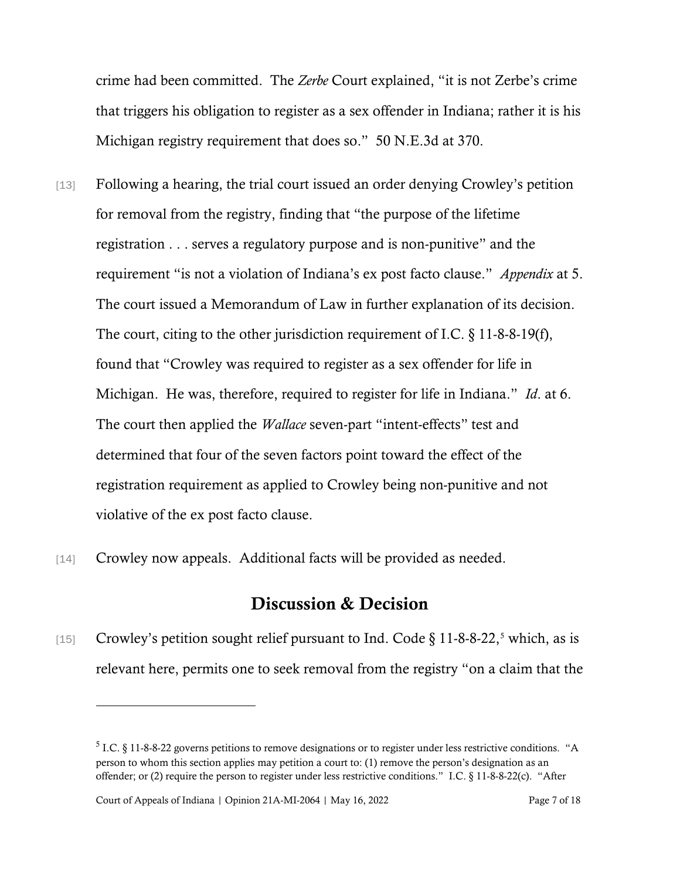crime had been committed. The *Zerbe* Court explained, "it is not Zerbe's crime that triggers his obligation to register as a sex offender in Indiana; rather it is his Michigan registry requirement that does so." 50 N.E.3d at 370.

- [13] Following a hearing, the trial court issued an order denying Crowley's petition for removal from the registry, finding that "the purpose of the lifetime registration . . . serves a regulatory purpose and is non-punitive" and the requirement "is not a violation of Indiana's ex post facto clause." *Appendix* at 5. The court issued a Memorandum of Law in further explanation of its decision. The court, citing to the other jurisdiction requirement of I.C. § 11-8-8-19(f), found that "Crowley was required to register as a sex offender for life in Michigan. He was, therefore, required to register for life in Indiana." *Id*. at 6. The court then applied the *Wallace* seven-part "intent-effects" test and determined that four of the seven factors point toward the effect of the registration requirement as applied to Crowley being non-punitive and not violative of the ex post facto clause.
- [14] Crowley now appeals. Additional facts will be provided as needed.

## Discussion & Decision

[1[5](#page-6-0)] Crowley's petition sought relief pursuant to Ind. Code  $\S 11-8-8-22$ , which, as is relevant here, permits one to seek removal from the registry "on a claim that the

<span id="page-6-0"></span><sup>&</sup>lt;sup>5</sup> I.C. § 11-8-8-22 governs petitions to remove designations or to register under less restrictive conditions. "A person to whom this section applies may petition a court to: (1) remove the person's designation as an offender; or (2) require the person to register under less restrictive conditions." I.C. § 11-8-8-22(c). "After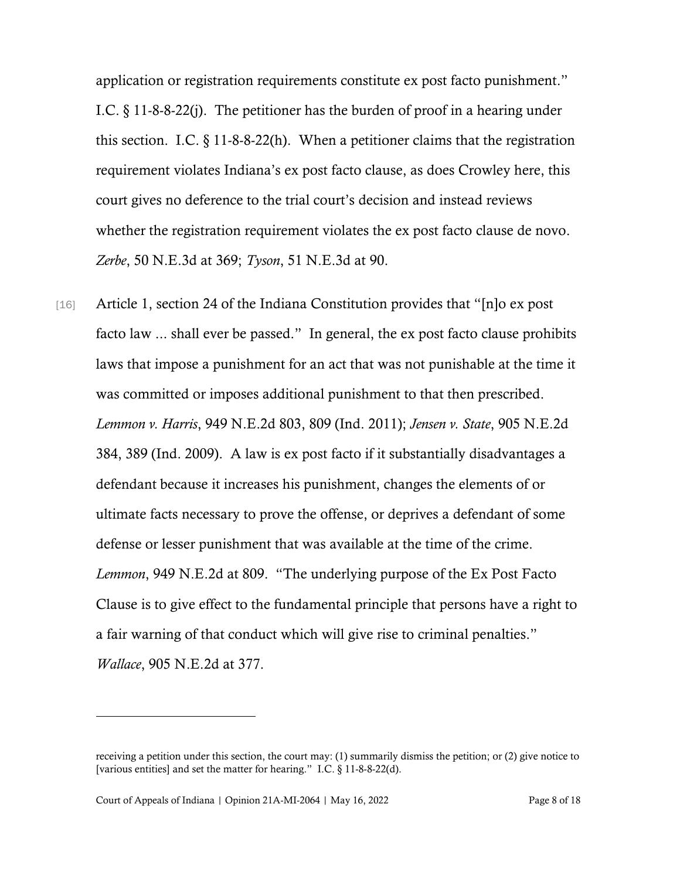application or registration requirements constitute ex post facto punishment." I.C. § 11-8-8-22(j). The petitioner has the burden of proof in a hearing under this section. I.C.  $\S 11-8-8-22(h)$ . When a petitioner claims that the registration requirement violates Indiana's ex post facto clause, as does Crowley here, this court gives no deference to the trial court's decision and instead reviews whether the registration requirement violates the ex post facto clause de novo. *Zerbe*, 50 N.E.3d at 369; *Tyson*, 51 N.E.3d at 90.

[16] Article 1, section 24 of the Indiana Constitution provides that "[n]o ex post facto law ... shall ever be passed." In general, the ex post facto clause prohibits laws that impose a punishment for an act that was not punishable at the time it was committed or imposes additional punishment to that then prescribed. *Lemmon v. Harris*, 949 N.E.2d 803, 809 (Ind. 2011); *Jensen v. State*, 905 N.E.2d 384, 389 (Ind. 2009). A law is ex post facto if it substantially disadvantages a defendant because it increases his punishment, changes the elements of or ultimate facts necessary to prove the offense, or deprives a defendant of some defense or lesser punishment that was available at the time of the crime. *Lemmon*, 949 N.E.2d at 809. "The underlying purpose of the Ex Post Facto Clause is to give effect to the fundamental principle that persons have a right to a fair warning of that conduct which will give rise to criminal penalties." *Wallace*, 905 N.E.2d at 377.

receiving a petition under this section, the court may: (1) summarily dismiss the petition; or (2) give notice to [various entities] and set the matter for hearing." I.C. § 11-8-8-22(d).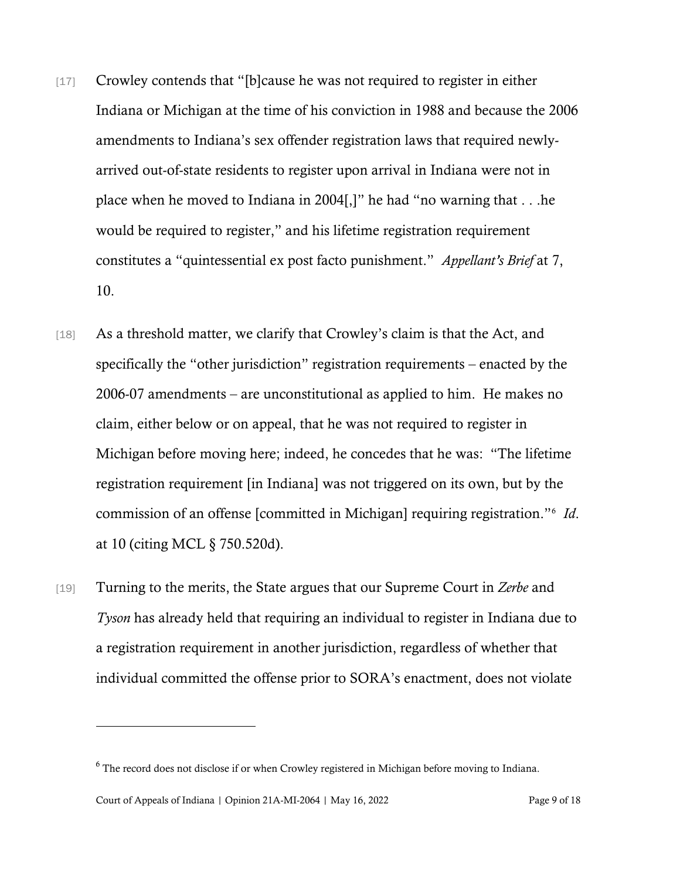- [17] Crowley contends that "[b]cause he was not required to register in either Indiana or Michigan at the time of his conviction in 1988 and because the 2006 amendments to Indiana's sex offender registration laws that required newlyarrived out-of-state residents to register upon arrival in Indiana were not in place when he moved to Indiana in 2004[,]" he had "no warning that . . .he would be required to register," and his lifetime registration requirement constitutes a "quintessential ex post facto punishment." *Appellant's Brief* at 7, 10.
- [18] As a threshold matter, we clarify that Crowley's claim is that the Act, and specifically the "other jurisdiction" registration requirements – enacted by the 2006-07 amendments – are unconstitutional as applied to him. He makes no claim, either below or on appeal, that he was not required to register in Michigan before moving here; indeed, he concedes that he was: "The lifetime registration requirement [in Indiana] was not triggered on its own, but by the commission of an offense [committed in Michigan] requiring registration."[6](#page-8-0) *Id*. at 10 (citing MCL § 750.520d).
- [19] Turning to the merits, the State argues that our Supreme Court in *Zerbe* and *Tyson* has already held that requiring an individual to register in Indiana due to a registration requirement in another jurisdiction, regardless of whether that individual committed the offense prior to SORA's enactment, does not violate

<span id="page-8-0"></span><sup>&</sup>lt;sup>6</sup> The record does not disclose if or when Crowley registered in Michigan before moving to Indiana.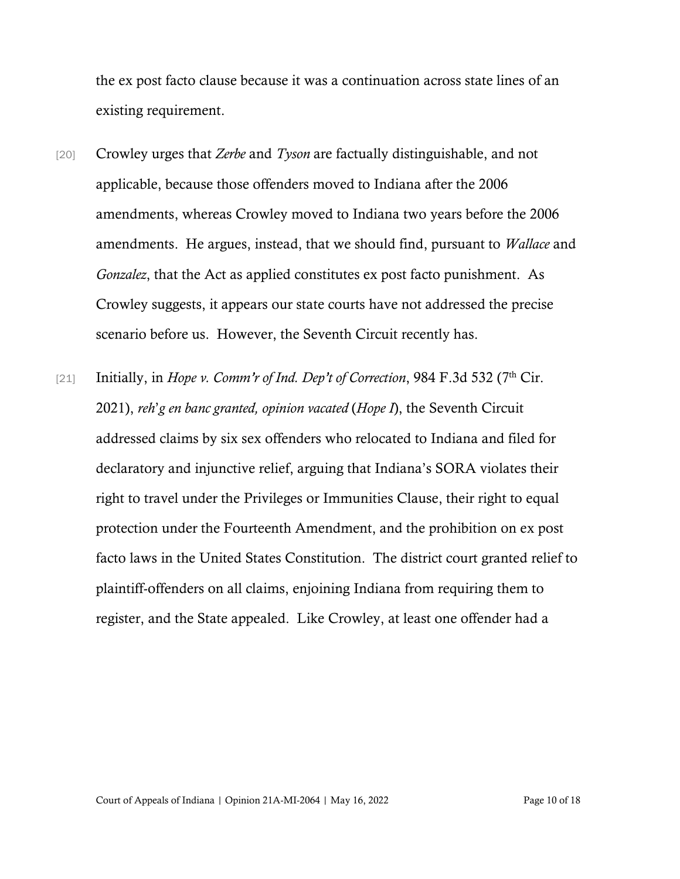the ex post facto clause because it was a continuation across state lines of an existing requirement.

- [20] Crowley urges that *Zerbe* and *Tyson* are factually distinguishable, and not applicable, because those offenders moved to Indiana after the 2006 amendments, whereas Crowley moved to Indiana two years before the 2006 amendments. He argues, instead, that we should find, pursuant to *Wallace* and *Gonzalez*, that the Act as applied constitutes ex post facto punishment. As Crowley suggests, it appears our state courts have not addressed the precise scenario before us. However, the Seventh Circuit recently has.
- [21] Initially, in *Hope v. Comm'r of Ind. Dep't of Correction*, 984 F.3d 532 (7<sup>th</sup> Cir. 2021), *reh*'*g en banc granted, opinion vacated* (*Hope I*), the Seventh Circuit addressed claims by six sex offenders who relocated to Indiana and filed for declaratory and injunctive relief, arguing that Indiana's SORA violates their right to travel under the Privileges or Immunities Clause, their right to equal protection under the Fourteenth Amendment, and the prohibition on ex post facto laws in the United States Constitution. The district court granted relief to plaintiff-offenders on all claims, enjoining Indiana from requiring them to register, and the State appealed. Like Crowley, at least one offender had a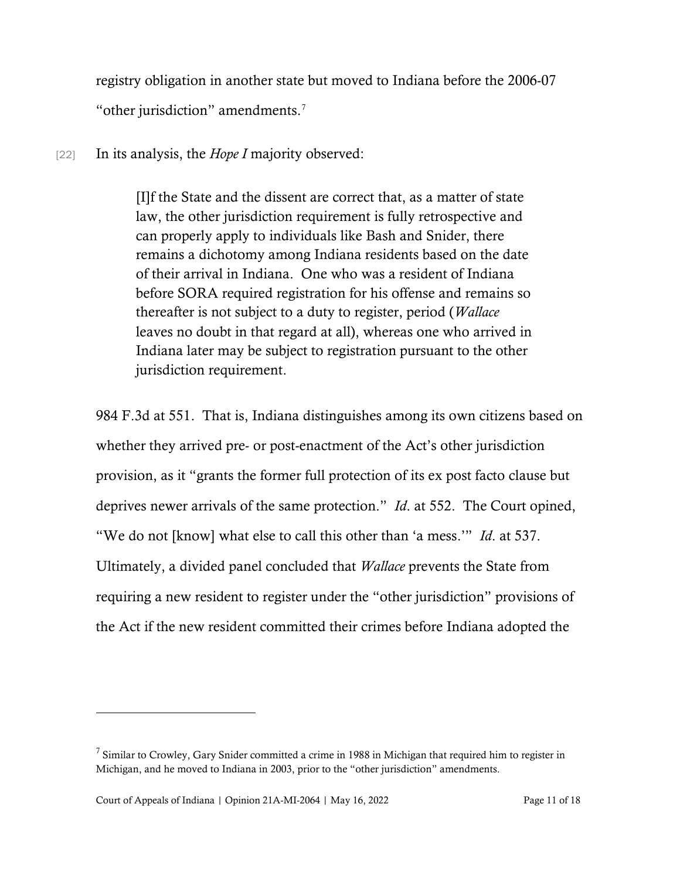registry obligation in another state but moved to Indiana before the 2006-07 "other jurisdiction" amendments.[7](#page-10-0)

[22] In its analysis, the *Hope I* majority observed:

[I]f the State and the dissent are correct that, as a matter of state law, the other jurisdiction requirement is fully retrospective and can properly apply to individuals like Bash and Snider, there remains a dichotomy among Indiana residents based on the date of their arrival in Indiana. One who was a resident of Indiana before SORA required registration for his offense and remains so thereafter is not subject to a duty to register, period (*Wallace* leaves no doubt in that regard at all), whereas one who arrived in Indiana later may be subject to registration pursuant to the other jurisdiction requirement.

984 F.3d at 551. That is, Indiana distinguishes among its own citizens based on whether they arrived pre- or post-enactment of the Act's other jurisdiction provision, as it "grants the former full protection of its ex post facto clause but deprives newer arrivals of the same protection." *Id*. at 552. The Court opined, "We do not [know] what else to call this other than 'a mess.'" *Id*. at 537. Ultimately, a divided panel concluded that *Wallace* prevents the State from requiring a new resident to register under the "other jurisdiction" provisions of the Act if the new resident committed their crimes before Indiana adopted the

<span id="page-10-0"></span> $7$  Similar to Crowley, Gary Snider committed a crime in 1988 in Michigan that required him to register in Michigan, and he moved to Indiana in 2003, prior to the "other jurisdiction" amendments.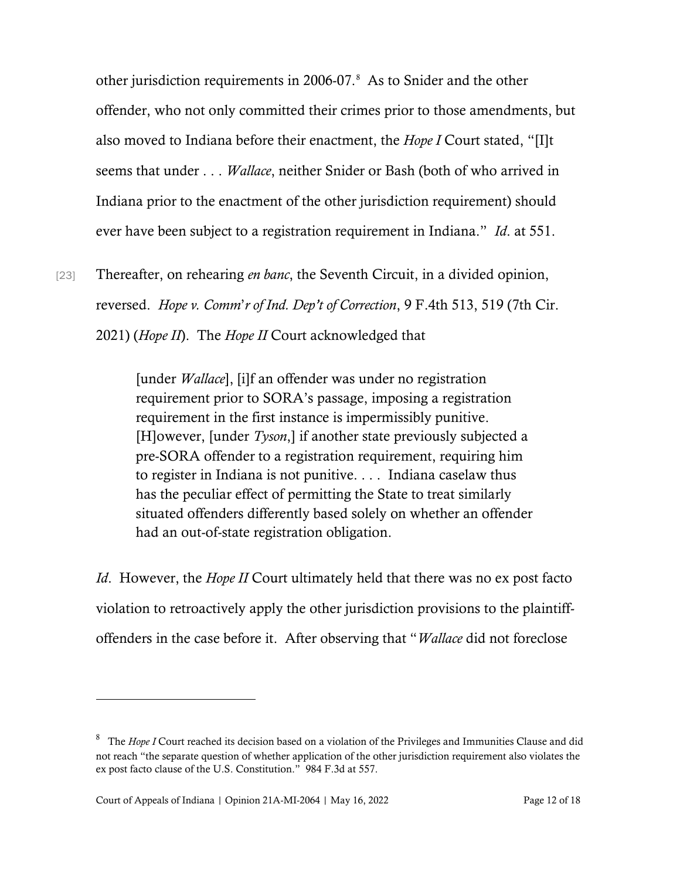other jurisdiction requirements in 2006-07.[8](#page-11-0) As to Snider and the other offender, who not only committed their crimes prior to those amendments, but also moved to Indiana before their enactment, the *Hope I* Court stated, "[I]t seems that under . . . *Wallace*, neither Snider or Bash (both of who arrived in Indiana prior to the enactment of the other jurisdiction requirement) should ever have been subject to a registration requirement in Indiana." *Id*. at 551.

[23] Thereafter, on rehearing *en banc*, the Seventh Circuit, in a divided opinion, reversed. *Hope v. Comm*'*r of Ind. Dep't of Correction*, 9 F.4th 513, 519 (7th Cir. 2021) (*Hope II*). The *Hope II* Court acknowledged that

> [under *Wallace*], [i]f an offender was under no registration requirement prior to SORA's passage, imposing a registration requirement in the first instance is impermissibly punitive. [H]owever, [under *Tyson*,] if another state previously subjected a pre-SORA offender to a registration requirement, requiring him to register in Indiana is not punitive. . . . Indiana caselaw thus has the peculiar effect of permitting the State to treat similarly situated offenders differently based solely on whether an offender had an out-of-state registration obligation.

*Id*. However, the *Hope II* Court ultimately held that there was no ex post facto violation to retroactively apply the other jurisdiction provisions to the plaintiffoffenders in the case before it. After observing that "*Wallace* did not foreclose

<span id="page-11-0"></span><sup>8</sup> The *Hope I* Court reached its decision based on a violation of the Privileges and Immunities Clause and did not reach "the separate question of whether application of the other jurisdiction requirement also violates the ex post facto clause of the U.S. Constitution." 984 F.3d at 557.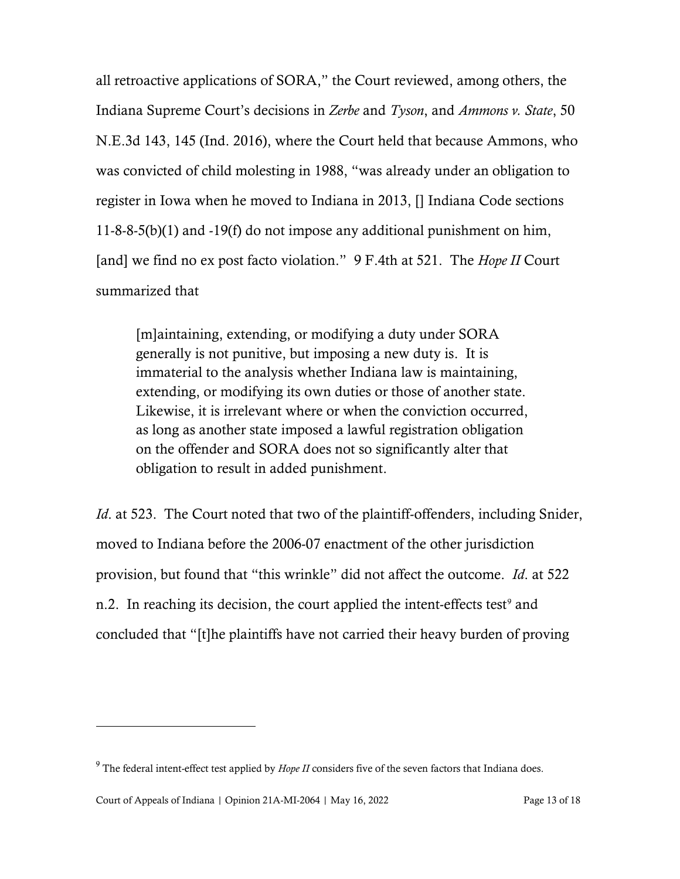all retroactive applications of SORA," the Court reviewed, among others, the Indiana Supreme Court's decisions in *Zerbe* and *Tyson*, and *Ammons v. State*, 50 N.E.3d 143, 145 (Ind. 2016), where the Court held that because Ammons, who was convicted of child molesting in 1988, "was already under an obligation to register in Iowa when he moved to Indiana in 2013, [] Indiana Code sections 11-8-8-5(b)(1) and -19(f) do not impose any additional punishment on him, [and] we find no ex post facto violation." 9 F.4th at 521. The *Hope II* Court summarized that

[m]aintaining, extending, or modifying a duty under SORA generally is not punitive, but imposing a new duty is. It is immaterial to the analysis whether Indiana law is maintaining, extending, or modifying its own duties or those of another state. Likewise, it is irrelevant where or when the conviction occurred, as long as another state imposed a lawful registration obligation on the offender and SORA does not so significantly alter that obligation to result in added punishment.

*Id.* at 523. The Court noted that two of the plaintiff-offenders, including Snider, moved to Indiana before the 2006-07 enactment of the other jurisdiction provision, but found that "this wrinkle" did not affect the outcome. *Id*. at 522 n.2. In reaching its decision, the court applied the intent-effects test<sup>[9](#page-12-0)</sup> and concluded that "[t]he plaintiffs have not carried their heavy burden of proving

<span id="page-12-0"></span><sup>&</sup>lt;sup>9</sup> The federal intent-effect test applied by *Hope II* considers five of the seven factors that Indiana does.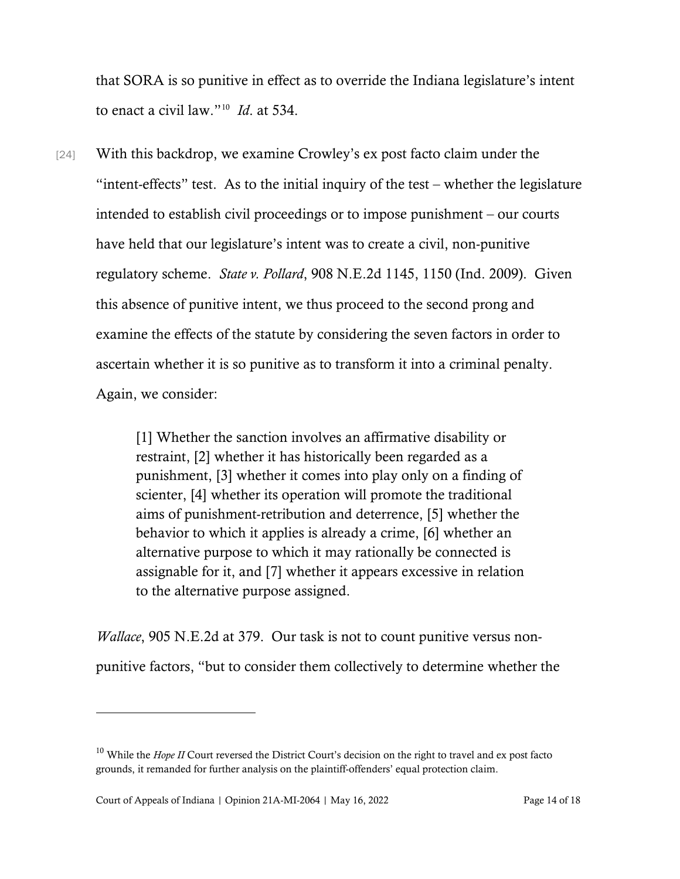that SORA is so punitive in effect as to override the Indiana legislature's intent to enact a civil law."[10](#page-13-0) *Id*. at 534.

[24] With this backdrop, we examine Crowley's ex post facto claim under the "intent-effects" test. As to the initial inquiry of the test – whether the legislature intended to establish civil proceedings or to impose punishment – our courts have held that our legislature's intent was to create a civil, non-punitive regulatory scheme. *State v. Pollard*, 908 N.E.2d 1145, 1150 (Ind. 2009). Given this absence of punitive intent, we thus proceed to the second prong and examine the effects of the statute by considering the seven factors in order to ascertain whether it is so punitive as to transform it into a criminal penalty. Again, we consider:

> [1] Whether the sanction involves an affirmative disability or restraint, [2] whether it has historically been regarded as a punishment, [3] whether it comes into play only on a finding of scienter, [4] whether its operation will promote the traditional aims of punishment-retribution and deterrence, [5] whether the behavior to which it applies is already a crime, [6] whether an alternative purpose to which it may rationally be connected is assignable for it, and [7] whether it appears excessive in relation to the alternative purpose assigned.

*Wallace*, 905 N.E.2d at 379. Our task is not to count punitive versus nonpunitive factors, "but to consider them collectively to determine whether the

<span id="page-13-0"></span><sup>&</sup>lt;sup>10</sup> While the *Hope II* Court reversed the District Court's decision on the right to travel and ex post facto grounds, it remanded for further analysis on the plaintiff-offenders' equal protection claim.

Court of Appeals of Indiana | Opinion 21A-MI-2064 | May 16, 2022 Page 14 of 18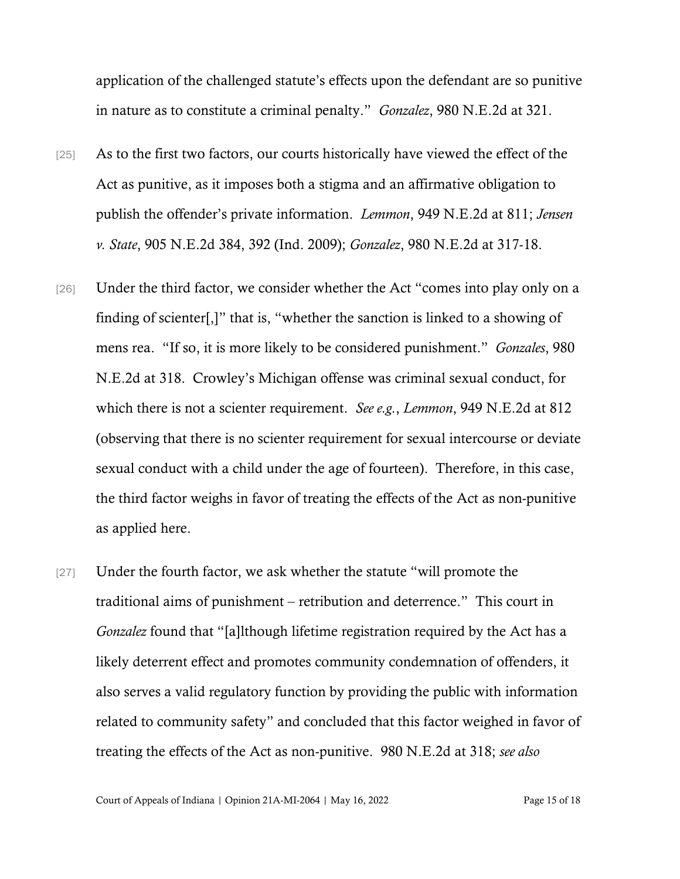application of the challenged statute's effects upon the defendant are so punitive in nature as to constitute a criminal penalty." *Gonzalez*, 980 N.E.2d at 321.

- [25] As to the first two factors, our courts historically have viewed the effect of the Act as punitive, as it imposes both a stigma and an affirmative obligation to publish the offender's private information. *Lemmon*, 949 N.E.2d at 811; *Jensen v. State*, 905 N.E.2d 384, 392 (Ind. 2009); *Gonzalez*, 980 N.E.2d at 317-18.
- [26] Under the third factor, we consider whether the Act "comes into play only on a finding of scienter[,]" that is, "whether the sanction is linked to a showing of mens rea. "If so, it is more likely to be considered punishment." *Gonzales*, 980 N.E.2d at 318. Crowley's Michigan offense was criminal sexual conduct, for which there is not a scienter requirement. *See e.g.*, *Lemmon*, 949 N.E.2d at 812 (observing that there is no scienter requirement for sexual intercourse or deviate sexual conduct with a child under the age of fourteen). Therefore, in this case, the third factor weighs in favor of treating the effects of the Act as non-punitive as applied here.
- [27] Under the fourth factor, we ask whether the statute "will promote the traditional aims of punishment – retribution and deterrence." This court in *Gonzalez* found that "[a]lthough lifetime registration required by the Act has a likely deterrent effect and promotes community condemnation of offenders, it also serves a valid regulatory function by providing the public with information related to community safety" and concluded that this factor weighed in favor of treating the effects of the Act as non-punitive. 980 N.E.2d at 318; *see also*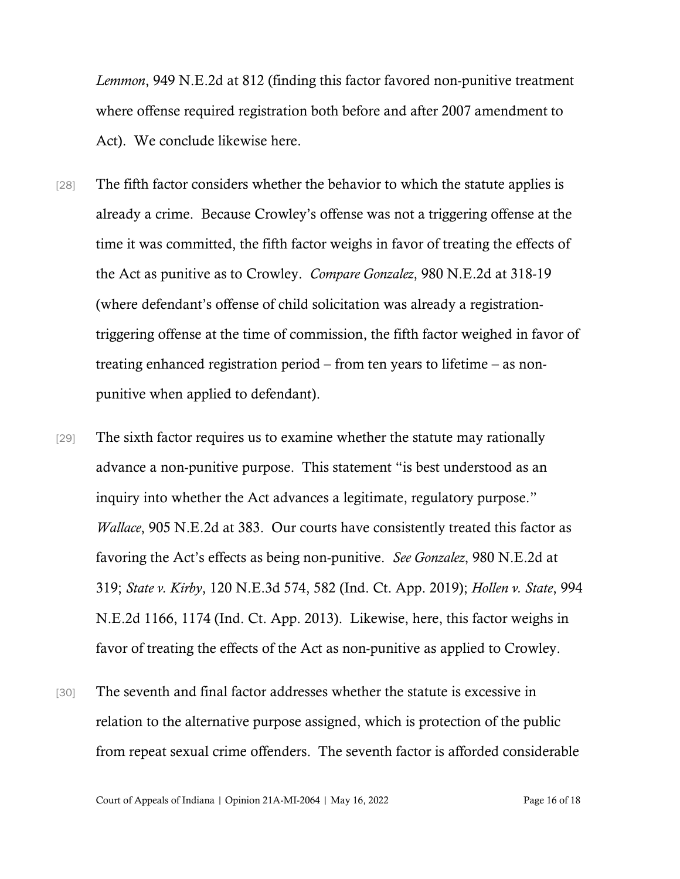*Lemmon*, 949 N.E.2d at 812 (finding this factor favored non-punitive treatment where offense required registration both before and after 2007 amendment to Act). We conclude likewise here.

- [28] The fifth factor considers whether the behavior to which the statute applies is already a crime. Because Crowley's offense was not a triggering offense at the time it was committed, the fifth factor weighs in favor of treating the effects of the Act as punitive as to Crowley. *Compare Gonzalez*, 980 N.E.2d at 318-19 (where defendant's offense of child solicitation was already a registrationtriggering offense at the time of commission, the fifth factor weighed in favor of treating enhanced registration period – from ten years to lifetime – as nonpunitive when applied to defendant).
- [29] The sixth factor requires us to examine whether the statute may rationally advance a non-punitive purpose. This statement "is best understood as an inquiry into whether the Act advances a legitimate, regulatory purpose." *Wallace*, 905 N.E.2d at 383. Our courts have consistently treated this factor as favoring the Act's effects as being non-punitive. *See Gonzalez*, 980 N.E.2d at 319; *State v. Kirby*, 120 N.E.3d 574, 582 (Ind. Ct. App. 2019); *Hollen v. State*, 994 N.E.2d 1166, 1174 (Ind. Ct. App. 2013). Likewise, here, this factor weighs in favor of treating the effects of the Act as non-punitive as applied to Crowley.
- [30] The seventh and final factor addresses whether the statute is excessive in relation to the alternative purpose assigned, which is protection of the public from repeat sexual crime offenders. The seventh factor is afforded considerable

Court of Appeals of Indiana | Opinion 21A-MI-2064 | May 16, 2022 Page 16 of 18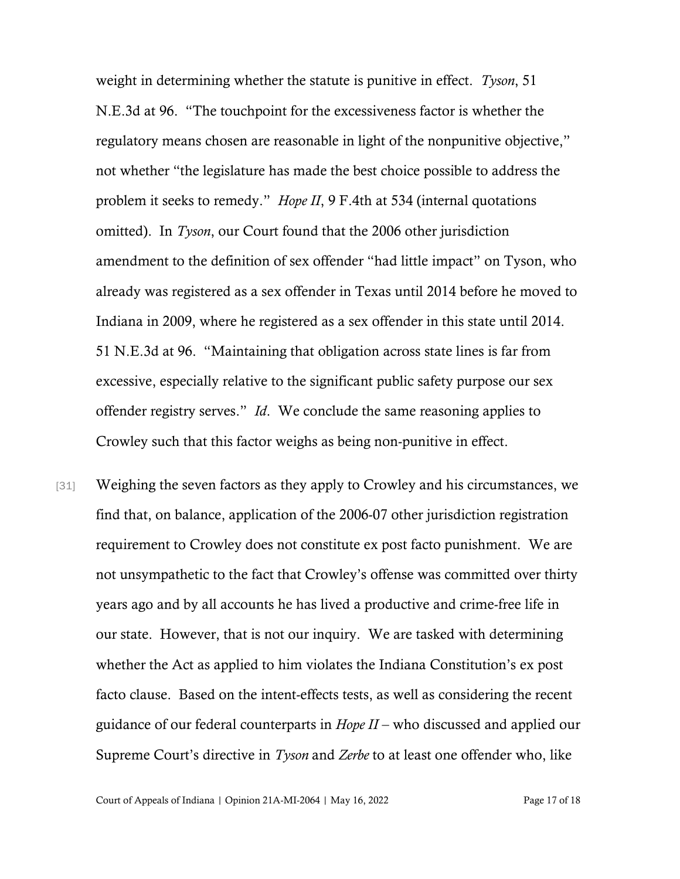weight in determining whether the statute is punitive in effect. *Tyson*, 51 N.E.3d at 96. "The touchpoint for the excessiveness factor is whether the regulatory means chosen are reasonable in light of the nonpunitive objective," not whether "the legislature has made the best choice possible to address the problem it seeks to remedy." *Hope II*, 9 F.4th at 534 (internal quotations omitted). In *Tyson*, our Court found that the 2006 other jurisdiction amendment to the definition of sex offender "had little impact" on Tyson, who already was registered as a sex offender in Texas until 2014 before he moved to Indiana in 2009, where he registered as a sex offender in this state until 2014. 51 N.E.3d at 96. "Maintaining that obligation across state lines is far from excessive, especially relative to the significant public safety purpose our sex offender registry serves." *Id*. We conclude the same reasoning applies to Crowley such that this factor weighs as being non-punitive in effect.

[31] Weighing the seven factors as they apply to Crowley and his circumstances, we find that, on balance, application of the 2006-07 other jurisdiction registration requirement to Crowley does not constitute ex post facto punishment. We are not unsympathetic to the fact that Crowley's offense was committed over thirty years ago and by all accounts he has lived a productive and crime-free life in our state. However, that is not our inquiry. We are tasked with determining whether the Act as applied to him violates the Indiana Constitution's ex post facto clause. Based on the intent-effects tests, as well as considering the recent guidance of our federal counterparts in *Hope II* – who discussed and applied our Supreme Court's directive in *Tyson* and *Zerbe* to at least one offender who, like

Court of Appeals of Indiana | Opinion 21A-MI-2064 | May 16, 2022 Page 17 of 18